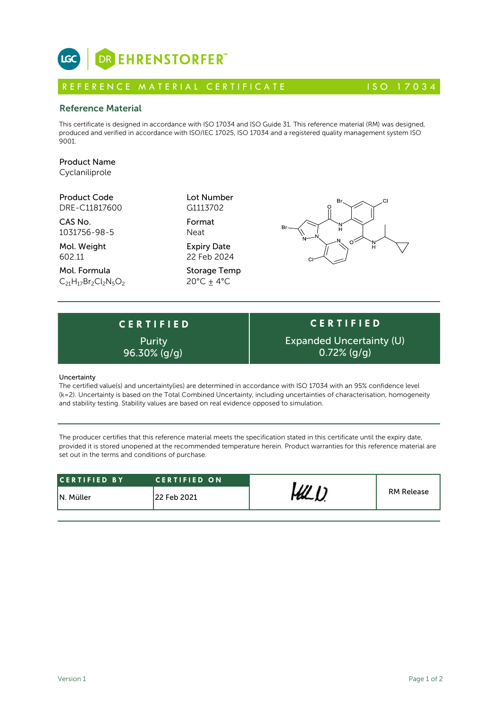# DR EHRENSTORFER™

**C E R T I F I E D**

Purity

# R E FERENCE MATERIAL CERTIFICATE 150 17034

### Reference Material

This certificate is designed in accordance with ISO 17034 and ISO Guide 31. This reference material (RM) was designed, produced and verified in accordance with ISO/IEC 17025, ISO 17034 and a registered quality management system ISO 9001.

# Product Name

**LGC** 

Cyclaniliprole

Product Code Lot Number DRE-C11817600

CAS No. Format 1031756-98-5 Neat

Mol. Weight **Expiry Date** 602.11 22 Feb 2024

Mol. Formula Storage Temp  $C_{21}H_{17}Br_2Cl_2N_5O_2$  20°C + 4°C

G1113702



Е

#### Uncertainty

The certified value(s) and uncertainty(ies) are determined in accordance with ISO 17034 with an 95% confidence level (k=2). Uncertainty is based on the Total Combined Uncertainty, including uncertainties of characterisation, homogeneity and stability testing. Stability values are based on real evidence opposed to simulation.

The producer certifies that this reference material meets the specification stated in this certificate until the expiry date, provided it is stored unopened at the recommended temperature herein. Product warranties for this reference material are set out in the terms and conditions of purchase.

| ICERTIFIED BY | <b>CERTIFIED ON</b> |  | <b>RM Release</b> |
|---------------|---------------------|--|-------------------|
| IN. Müller    | 122 Feb 2021        |  |                   |